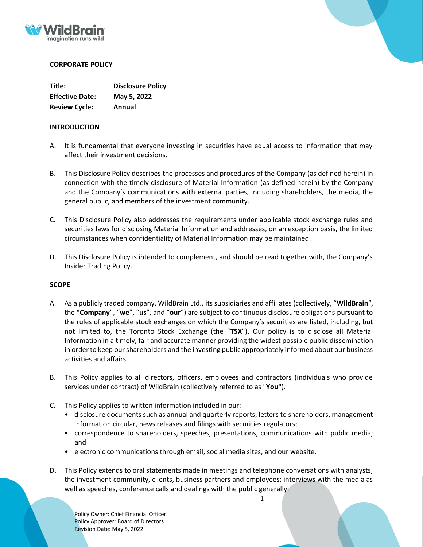



# **CORPORATE POLICY**

| Title:                 | <b>Disclosure Policy</b> |
|------------------------|--------------------------|
| <b>Effective Date:</b> | May 5, 2022              |
| <b>Review Cycle:</b>   | Annual                   |

# **INTRODUCTION**

- A. It is fundamental that everyone investing in securities have equal access to information that may affect their investment decisions.
- B. This Disclosure Policy describes the processes and procedures of the Company (as defined herein) in connection with the timely disclosure of Material Information (as defined herein) by the Company and the Company's communications with external parties, including shareholders, the media, the general public, and members of the investment community.
- C. This Disclosure Policy also addresses the requirements under applicable stock exchange rules and securities laws for disclosing Material Information and addresses, on an exception basis, the limited circumstances when confidentiality of Material Information may be maintained.
- D. This Disclosure Policy is intended to complement, and should be read together with, the Company's Insider Trading Policy.

# **SCOPE**

- A. As a publicly traded company, WildBrain Ltd., its subsidiaries and affiliates (collectively, "**WildBrain**", the **"Company**", "**we**", "**us**", and "**our**") are subject to continuous disclosure obligations pursuant to the rules of applicable stock exchanges on which the Company's securities are listed, including, but not limited to, the Toronto Stock Exchange (the "**TSX**"). Our policy is to disclose all Material Information in a timely, fair and accurate manner providing the widest possible public dissemination in order to keep our shareholders and the investing public appropriately informed about our business activities and affairs.
- B. This Policy applies to all directors, officers, employees and contractors (individuals who provide services under contract) of WildBrain (collectively referred to as "**You**").
- C. This Policy applies to written information included in our:
	- disclosure documents such as annual and quarterly reports, letters to shareholders, management information circular, news releases and filings with securities regulators;
	- correspondence to shareholders, speeches, presentations, communications with public media; and
	- electronic communications through email, social media sites, and our website.
- D. This Policy extends to oral statements made in meetings and telephone conversations with analysts, the investment community, clients, business partners and employees; interviews with the media as well as speeches, conference calls and dealings with the public generally.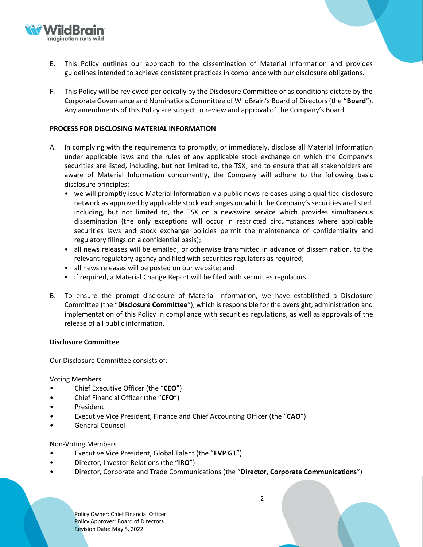

- E. This Policy outlines our approach to the dissemination of Material Information and provides guidelines intended to achieve consistent practices in compliance with our disclosure obligations.
- F. This Policy will be reviewed periodically by the Disclosure Committee or as conditions dictate by the Corporate Governance and Nominations Committee of WildBrain's Board of Directors (the "**Board**"). Any amendments of this Policy are subject to review and approval of the Company's Board.

### **PROCESS FOR DISCLOSING MATERIAL INFORMATION**

- A. In complying with the requirements to promptly, or immediately, disclose all Material Information under applicable laws and the rules of any applicable stock exchange on which the Company's securities are listed, including, but not limited to, the TSX, and to ensure that all stakeholders are aware of Material Information concurrently, the Company will adhere to the following basic disclosure principles:
	- we will promptly issue Material Information via public news releases using a qualified disclosure network as approved by applicable stock exchanges on which the Company's securities are listed, including, but not limited to, the TSX on a newswire service which provides simultaneous dissemination (the only exceptions will occur in restricted circumstances where applicable securities laws and stock exchange policies permit the maintenance of confidentiality and regulatory filings on a confidential basis);
	- all news releases will be emailed, or otherwise transmitted in advance of dissemination, to the relevant regulatory agency and filed with securities regulators as required;
	- all news releases will be posted on our website; and
	- if required, a Material Change Report will be filed with securities regulators.
- B. To ensure the prompt disclosure of Material Information, we have established a Disclosure Committee (the "**Disclosure Committee**"), which is responsible for the oversight, administration and implementation of this Policy in compliance with securities regulations, as well as approvals of the release of all public information.

#### **Disclosure Committee**

Our Disclosure Committee consists of:

Voting Members

- Chief Executive Officer (the "**CEO**")
- Chief Financial Officer (the "**CFO**")
- **President**
- Executive Vice President, Finance and Chief Accounting Officer (the "**CAO**")
- General Counsel

Non-Voting Members

- Executive Vice President, Global Talent (the "**EVP GT**")
- Director, Investor Relations (the "**IRO**")
- Director, Corporate and Trade Communications (the "**Director, Corporate Communications**")

Policy Owner: Chief Financial Officer Policy Approver: Board of Directors Revision Date: May 5, 2022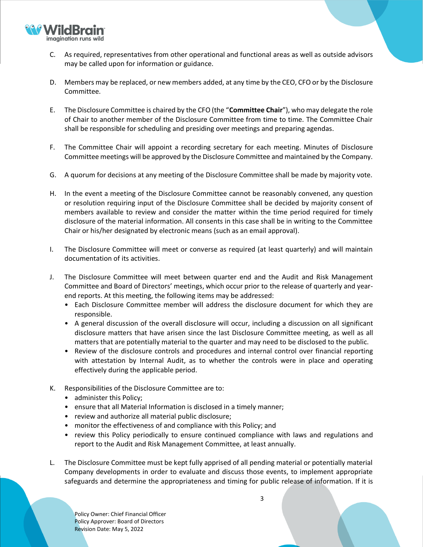

- C. As required, representatives from other operational and functional areas as well as outside advisors may be called upon for information or guidance.
- D. Members may be replaced, or new members added, at any time by the CEO, CFO or by the Disclosure Committee.
- E. The Disclosure Committee is chaired by the CFO (the "**Committee Chair**"), who may delegate the role of Chair to another member of the Disclosure Committee from time to time. The Committee Chair shall be responsible for scheduling and presiding over meetings and preparing agendas.
- F. The Committee Chair will appoint a recording secretary for each meeting. Minutes of Disclosure Committee meetings will be approved by the Disclosure Committee and maintained by the Company.
- G. A quorum for decisions at any meeting of the Disclosure Committee shall be made by majority vote.
- H. In the event a meeting of the Disclosure Committee cannot be reasonably convened, any question or resolution requiring input of the Disclosure Committee shall be decided by majority consent of members available to review and consider the matter within the time period required for timely disclosure of the material information. All consents in this case shall be in writing to the Committee Chair or his/her designated by electronic means (such as an email approval).
- I. The Disclosure Committee will meet or converse as required (at least quarterly) and will maintain documentation of its activities.
- J. The Disclosure Committee will meet between quarter end and the Audit and Risk Management Committee and Board of Directors' meetings, which occur prior to the release of quarterly and yearend reports. At this meeting, the following items may be addressed:
	- Each Disclosure Committee member will address the disclosure document for which they are responsible.
	- A general discussion of the overall disclosure will occur, including a discussion on all significant disclosure matters that have arisen since the last Disclosure Committee meeting, as well as all matters that are potentially material to the quarter and may need to be disclosed to the public.
	- Review of the disclosure controls and procedures and internal control over financial reporting with attestation by Internal Audit, as to whether the controls were in place and operating effectively during the applicable period.
- K. Responsibilities of the Disclosure Committee are to:
	- administer this Policy;
	- ensure that all Material Information is disclosed in a timely manner;
	- review and authorize all material public disclosure;
	- monitor the effectiveness of and compliance with this Policy; and
	- review this Policy periodically to ensure continued compliance with laws and regulations and report to the Audit and Risk Management Committee, at least annually.
- L. The Disclosure Committee must be kept fully apprised of all pending material or potentially material Company developments in order to evaluate and discuss those events, to implement appropriate safeguards and determine the appropriateness and timing for public release of information. If it is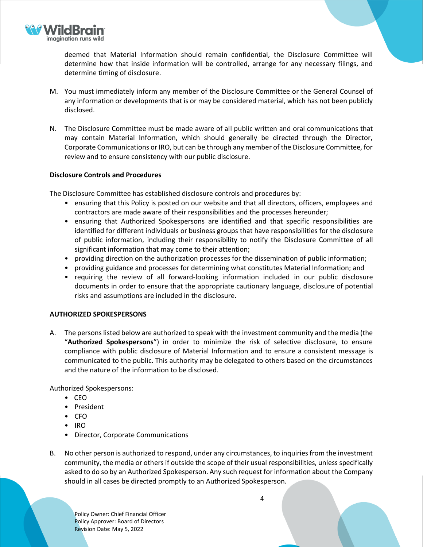

deemed that Material Information should remain confidential, the Disclosure Committee will determine how that inside information will be controlled, arrange for any necessary filings, and determine timing of disclosure.

- M. You must immediately inform any member of the Disclosure Committee or the General Counsel of any information or developments that is or may be considered material, which has not been publicly disclosed.
- N. The Disclosure Committee must be made aware of all public written and oral communications that may contain Material Information, which should generally be directed through the Director, Corporate Communications or IRO, but can be through any member of the Disclosure Committee, for review and to ensure consistency with our public disclosure.

# **Disclosure Controls and Procedures**

The Disclosure Committee has established disclosure controls and procedures by:

- ensuring that this Policy is posted on our website and that all directors, officers, employees and contractors are made aware of their responsibilities and the processes hereunder;
- ensuring that Authorized Spokespersons are identified and that specific responsibilities are identified for different individuals or business groups that have responsibilities for the disclosure of public information, including their responsibility to notify the Disclosure Committee of all significant information that may come to their attention;
- providing direction on the authorization processes for the dissemination of public information;
- providing guidance and processes for determining what constitutes Material Information; and
- requiring the review of all forward-looking information included in our public disclosure documents in order to ensure that the appropriate cautionary language, disclosure of potential risks and assumptions are included in the disclosure.

# **AUTHORIZED SPOKESPERSONS**

A. The persons listed below are authorized to speak with the investment community and the media (the "**Authorized Spokespersons**") in order to minimize the risk of selective disclosure, to ensure compliance with public disclosure of Material Information and to ensure a consistent message is communicated to the public. This authority may be delegated to others based on the circumstances and the nature of the information to be disclosed.

Authorized Spokespersons:

- CEO
- President
- CFO
- IRO
- Director, Corporate Communications
- B. No other person is authorized to respond, under any circumstances, to inquiries from the investment community, the media or others if outside the scope of their usual responsibilities, unless specifically asked to do so by an Authorized Spokesperson. Any such request for information about the Company should in all cases be directed promptly to an Authorized Spokesperson.

Policy Owner: Chief Financial Officer Policy Approver: Board of Directors Revision Date: May 5, 2022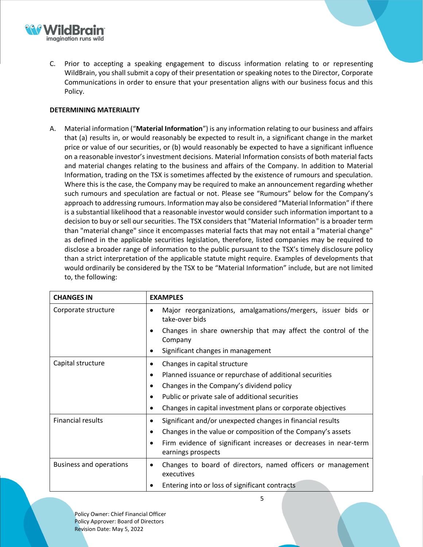

C. Prior to accepting a speaking engagement to discuss information relating to or representing WildBrain, you shall submit a copy of their presentation or speaking notes to the Director, Corporate Communications in order to ensure that your presentation aligns with our business focus and this Policy.

# **DETERMINING MATERIALITY**

A. Material information ("**Material Information**") is any information relating to our business and affairs that (a) results in, or would reasonably be expected to result in, a significant change in the market price or value of our securities, or (b) would reasonably be expected to have a significant influence on a reasonable investor's investment decisions. Material Information consists of both material facts and material changes relating to the business and affairs of the Company. In addition to Material Information, trading on the TSX is sometimes affected by the existence of rumours and speculation. Where this is the case, the Company may be required to make an announcement regarding whether such rumours and speculation are factual or not. Please see "Rumours" below for the Company's approach to addressing rumours. Information may also be considered "Material Information" if there is a substantial likelihood that a reasonable investor would consider such information important to a decision to buy or sell our securities. The TSX considers that "Material Information" is a broader term than "material change" since it encompasses material facts that may not entail a "material change" as defined in the applicable securities legislation, therefore, listed companies may be required to disclose a broader range of information to the public pursuant to the TSX's timely disclosure policy than a strict interpretation of the applicable statute might require. Examples of developments that would ordinarily be considered by the TSX to be "Material Information" include, but are not limited to, the following:

| <b>CHANGES IN</b>              | <b>EXAMPLES</b>                                                                                     |
|--------------------------------|-----------------------------------------------------------------------------------------------------|
| Corporate structure            | Major reorganizations, amalgamations/mergers, issuer bids or<br>٠<br>take-over bids                 |
|                                | Changes in share ownership that may affect the control of the<br>Company                            |
|                                | Significant changes in management<br>$\bullet$                                                      |
| Capital structure              | Changes in capital structure<br>٠                                                                   |
|                                | Planned issuance or repurchase of additional securities<br>٠                                        |
|                                | Changes in the Company's dividend policy<br>$\bullet$                                               |
|                                | Public or private sale of additional securities<br>$\bullet$                                        |
|                                | Changes in capital investment plans or corporate objectives<br>$\bullet$                            |
| <b>Financial results</b>       | Significant and/or unexpected changes in financial results<br>٠                                     |
|                                | Changes in the value or composition of the Company's assets<br>$\bullet$                            |
|                                | Firm evidence of significant increases or decreases in near-term<br>$\bullet$<br>earnings prospects |
| <b>Business and operations</b> | Changes to board of directors, named officers or management<br>$\bullet$<br>executives              |
|                                | Entering into or loss of significant contracts                                                      |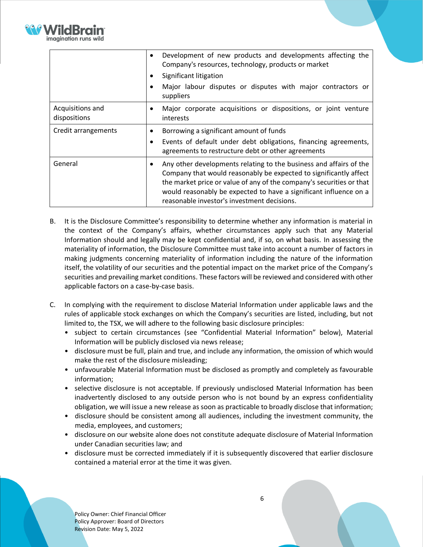

|                                  | Development of new products and developments affecting the<br>٠<br>Company's resources, technology, products or market<br>Significant litigation<br>$\bullet$<br>Major labour disputes or disputes with major contractors or<br>$\bullet$<br>suppliers                                                                                   |
|----------------------------------|------------------------------------------------------------------------------------------------------------------------------------------------------------------------------------------------------------------------------------------------------------------------------------------------------------------------------------------|
| Acquisitions and<br>dispositions | Major corporate acquisitions or dispositions, or joint venture<br>٠<br>interests                                                                                                                                                                                                                                                         |
| Credit arrangements              | Borrowing a significant amount of funds<br>Events of default under debt obligations, financing agreements,<br>$\bullet$<br>agreements to restructure debt or other agreements                                                                                                                                                            |
| General                          | Any other developments relating to the business and affairs of the<br>٠<br>Company that would reasonably be expected to significantly affect<br>the market price or value of any of the company's securities or that<br>would reasonably be expected to have a significant influence on a<br>reasonable investor's investment decisions. |

- B. It is the Disclosure Committee's responsibility to determine whether any information is material in the context of the Company's affairs, whether circumstances apply such that any Material Information should and legally may be kept confidential and, if so, on what basis. In assessing the materiality of information, the Disclosure Committee must take into account a number of factors in making judgments concerning materiality of information including the nature of the information itself, the volatility of our securities and the potential impact on the market price of the Company's securities and prevailing market conditions. These factors will be reviewed and considered with other applicable factors on a case-by-case basis.
- C. In complying with the requirement to disclose Material Information under applicable laws and the rules of applicable stock exchanges on which the Company's securities are listed, including, but not limited to, the TSX, we will adhere to the following basic disclosure principles:
	- subject to certain circumstances (see "Confidential Material Information" below), Material Information will be publicly disclosed via news release;
	- disclosure must be full, plain and true, and include any information, the omission of which would make the rest of the disclosure misleading;
	- unfavourable Material Information must be disclosed as promptly and completely as favourable information;
	- selective disclosure is not acceptable. If previously undisclosed Material Information has been inadvertently disclosed to any outside person who is not bound by an express confidentiality obligation, we will issue a new release as soon as practicable to broadly disclose that information;
	- disclosure should be consistent among all audiences, including the investment community, the media, employees, and customers;
	- disclosure on our website alone does not constitute adequate disclosure of Material Information under Canadian securities law; and
	- disclosure must be corrected immediately if it is subsequently discovered that earlier disclosure contained a material error at the time it was given.

Policy Owner: Chief Financial Officer Policy Approver: Board of Directors Revision Date: May 5, 2022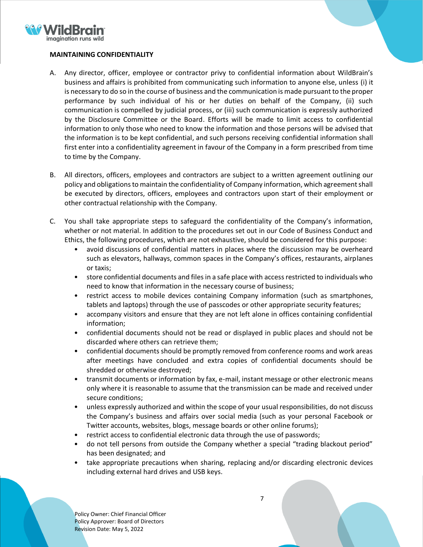

# **MAINTAINING CONFIDENTIALITY**

- A. Any director, officer, employee or contractor privy to confidential information about WildBrain's business and affairs is prohibited from communicating such information to anyone else, unless (i) it is necessary to do so in the course of business and the communication is made pursuant to the proper performance by such individual of his or her duties on behalf of the Company, (ii) such communication is compelled by judicial process, or (iii) such communication is expressly authorized by the Disclosure Committee or the Board. Efforts will be made to limit access to confidential information to only those who need to know the information and those persons will be advised that the information is to be kept confidential, and such persons receiving confidential information shall first enter into a confidentiality agreement in favour of the Company in a form prescribed from time to time by the Company.
- B. All directors, officers, employees and contractors are subject to a written agreement outlining our policy and obligations to maintain the confidentiality of Company information, which agreement shall be executed by directors, officers, employees and contractors upon start of their employment or other contractual relationship with the Company.
- C. You shall take appropriate steps to safeguard the confidentiality of the Company's information, whether or not material. In addition to the procedures set out in our Code of Business Conduct and Ethics, the following procedures, which are not exhaustive, should be considered for this purpose:
	- avoid discussions of confidential matters in places where the discussion may be overheard such as elevators, hallways, common spaces in the Company's offices, restaurants, airplanes or taxis;
	- store confidential documents and files in a safe place with access restricted to individuals who need to know that information in the necessary course of business;
	- restrict access to mobile devices containing Company information (such as smartphones, tablets and laptops) through the use of passcodes or other appropriate security features;
	- accompany visitors and ensure that they are not left alone in offices containing confidential information;
	- confidential documents should not be read or displayed in public places and should not be discarded where others can retrieve them;
	- confidential documents should be promptly removed from conference rooms and work areas after meetings have concluded and extra copies of confidential documents should be shredded or otherwise destroyed;
	- transmit documents or information by fax, e-mail, instant message or other electronic means only where it is reasonable to assume that the transmission can be made and received under secure conditions;
	- unless expressly authorized and within the scope of your usual responsibilities, do not discuss the Company's business and affairs over social media (such as your personal Facebook or Twitter accounts, websites, blogs, message boards or other online forums);
	- restrict access to confidential electronic data through the use of passwords;
	- do not tell persons from outside the Company whether a special "trading blackout period" has been designated; and
	- take appropriate precautions when sharing, replacing and/or discarding electronic devices including external hard drives and USB keys.

Policy Owner: Chief Financial Officer Policy Approver: Board of Directors Revision Date: May 5, 2022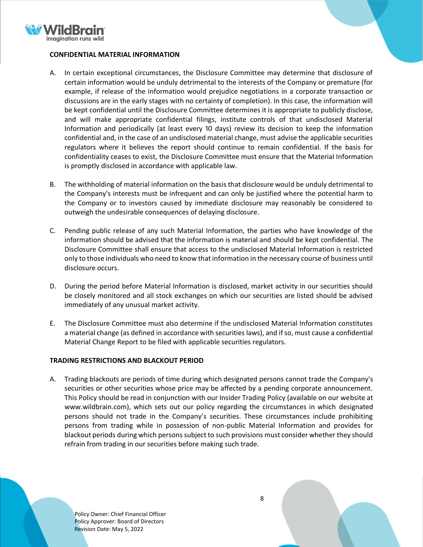

### **CONFIDENTIAL MATERIAL INFORMATION**

- A. In certain exceptional circumstances, the Disclosure Committee may determine that disclosure of certain information would be unduly detrimental to the interests of the Company or premature (for example, if release of the information would prejudice negotiations in a corporate transaction or discussions are in the early stages with no certainty of completion). In this case, the information will be kept confidential until the Disclosure Committee determines it is appropriate to publicly disclose, and will make appropriate confidential filings, institute controls of that undisclosed Material Information and periodically (at least every 10 days) review its decision to keep the information confidential and, in the case of an undisclosed material change, must advise the applicable securities regulators where it believes the report should continue to remain confidential. If the basis for confidentiality ceases to exist, the Disclosure Committee must ensure that the Material Information is promptly disclosed in accordance with applicable law.
- B. The withholding of material information on the basis that disclosure would be unduly detrimental to the Company's interests must be infrequent and can only be justified where the potential harm to the Company or to investors caused by immediate disclosure may reasonably be considered to outweigh the undesirable consequences of delaying disclosure.
- C. Pending public release of any such Material Information, the parties who have knowledge of the information should be advised that the information is material and should be kept confidential. The Disclosure Committee shall ensure that access to the undisclosed Material Information is restricted only to those individuals who need to know that information in the necessary course of business until disclosure occurs.
- D. During the period before Material Information is disclosed, market activity in our securities should be closely monitored and all stock exchanges on which our securities are listed should be advised immediately of any unusual market activity.
- E. The Disclosure Committee must also determine if the undisclosed Material Information constitutes a material change (as defined in accordance with securities laws), and if so, must cause a confidential Material Change Report to be filed with applicable securities regulators.

# **TRADING RESTRICTIONS AND BLACKOUT PERIOD**

A. Trading blackouts are periods of time during which designated persons cannot trade the Company's securities or other securities whose price may be affected by a pending corporate announcement. This Policy should be read in conjunction with our Insider Trading Policy (available on our website at www.wildbrain.com), which sets out our policy regarding the circumstances in which designated persons should not trade in the Company's securities. These circumstances include prohibiting persons from trading while in possession of non-public Material Information and provides for blackout periods during which persons subject to such provisions must consider whether they should refrain from trading in our securities before making such trade.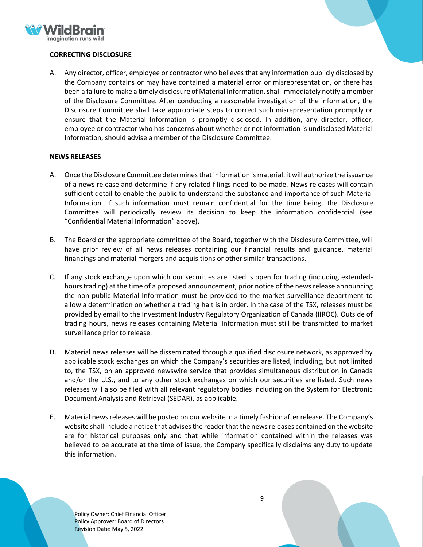

# **CORRECTING DISCLOSURE**

A. Any director, officer, employee or contractor who believes that any information publicly disclosed by the Company contains or may have contained a material error or misrepresentation, or there has been a failure to make a timely disclosure of Material Information, shall immediately notify a member of the Disclosure Committee. After conducting a reasonable investigation of the information, the Disclosure Committee shall take appropriate steps to correct such misrepresentation promptly or ensure that the Material Information is promptly disclosed. In addition, any director, officer, employee or contractor who has concerns about whether or not information is undisclosed Material Information, should advise a member of the Disclosure Committee.

### **NEWS RELEASES**

- A. Once the Disclosure Committee determines that information is material, it will authorize the issuance of a news release and determine if any related filings need to be made. News releases will contain sufficient detail to enable the public to understand the substance and importance of such Material Information. If such information must remain confidential for the time being, the Disclosure Committee will periodically review its decision to keep the information confidential (see "Confidential Material Information" above).
- B. The Board or the appropriate committee of the Board, together with the Disclosure Committee, will have prior review of all news releases containing our financial results and guidance, material financings and material mergers and acquisitions or other similar transactions.
- C. If any stock exchange upon which our securities are listed is open for trading (including extendedhours trading) at the time of a proposed announcement, prior notice of the news release announcing the non-public Material Information must be provided to the market surveillance department to allow a determination on whether a trading halt is in order. In the case of the TSX, releases must be provided by email to the Investment Industry Regulatory Organization of Canada (IIROC). Outside of trading hours, news releases containing Material Information must still be transmitted to market surveillance prior to release.
- D. Material news releases will be disseminated through a qualified disclosure network, as approved by applicable stock exchanges on which the Company's securities are listed, including, but not limited to, the TSX, on an approved newswire service that provides simultaneous distribution in Canada and/or the U.S., and to any other stock exchanges on which our securities are listed. Such news releases will also be filed with all relevant regulatory bodies including on the System for Electronic Document Analysis and Retrieval (SEDAR), as applicable.
- E. Material news releases will be posted on our website in a timely fashion after release. The Company's website shall include a notice that advises the reader that the news releases contained on the website are for historical purposes only and that while information contained within the releases was believed to be accurate at the time of issue, the Company specifically disclaims any duty to update this information.

Policy Owner: Chief Financial Officer Policy Approver: Board of Directors Revision Date: May 5, 2022

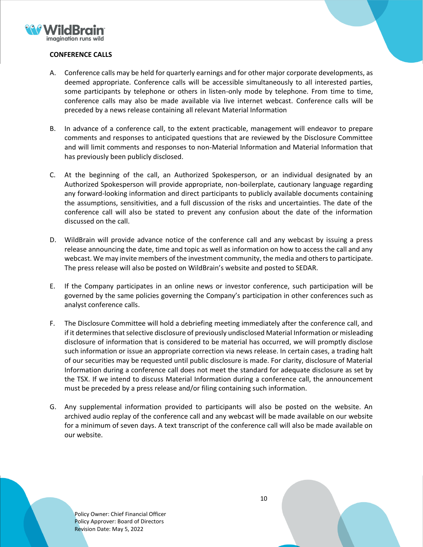

# **CONFERENCE CALLS**

- A. Conference calls may be held for quarterly earnings and for other major corporate developments, as deemed appropriate. Conference calls will be accessible simultaneously to all interested parties, some participants by telephone or others in listen-only mode by telephone. From time to time, conference calls may also be made available via live internet webcast. Conference calls will be preceded by a news release containing all relevant Material Information
- B. In advance of a conference call, to the extent practicable, management will endeavor to prepare comments and responses to anticipated questions that are reviewed by the Disclosure Committee and will limit comments and responses to non-Material Information and Material Information that has previously been publicly disclosed.
- C. At the beginning of the call, an Authorized Spokesperson, or an individual designated by an Authorized Spokesperson will provide appropriate, non-boilerplate, cautionary language regarding any forward-looking information and direct participants to publicly available documents containing the assumptions, sensitivities, and a full discussion of the risks and uncertainties. The date of the conference call will also be stated to prevent any confusion about the date of the information discussed on the call.
- D. WildBrain will provide advance notice of the conference call and any webcast by issuing a press release announcing the date, time and topic as well as information on how to access the call and any webcast. We may invite members of the investment community, the media and others to participate. The press release will also be posted on WildBrain's website and posted to SEDAR.
- E. If the Company participates in an online news or investor conference, such participation will be governed by the same policies governing the Company's participation in other conferences such as analyst conference calls.
- F. The Disclosure Committee will hold a debriefing meeting immediately after the conference call, and if it determines that selective disclosure of previously undisclosed Material Information or misleading disclosure of information that is considered to be material has occurred, we will promptly disclose such information or issue an appropriate correction via news release. In certain cases, a trading halt of our securities may be requested until public disclosure is made. For clarity, disclosure of Material Information during a conference call does not meet the standard for adequate disclosure as set by the TSX. If we intend to discuss Material Information during a conference call, the announcement must be preceded by a press release and/or filing containing such information.
- G. Any supplemental information provided to participants will also be posted on the website. An archived audio replay of the conference call and any webcast will be made available on our website for a minimum of seven days. A text transcript of the conference call will also be made available on our website.

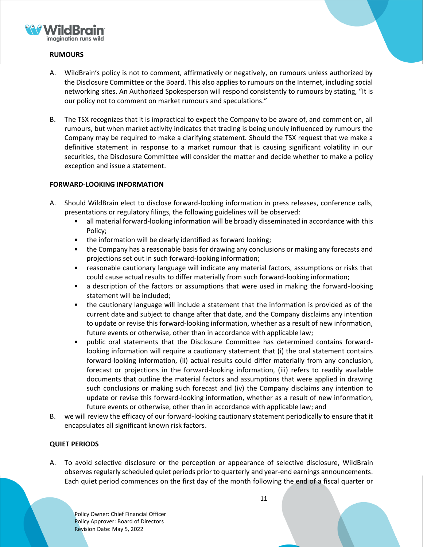

# **RUMOURS**

- A. WildBrain's policy is not to comment, affirmatively or negatively, on rumours unless authorized by the Disclosure Committee or the Board. This also applies to rumours on the Internet, including social networking sites. An Authorized Spokesperson will respond consistently to rumours by stating, "It is our policy not to comment on market rumours and speculations."
- B. The TSX recognizes that it is impractical to expect the Company to be aware of, and comment on, all rumours, but when market activity indicates that trading is being unduly influenced by rumours the Company may be required to make a clarifying statement. Should the TSX request that we make a definitive statement in response to a market rumour that is causing significant volatility in our securities, the Disclosure Committee will consider the matter and decide whether to make a policy exception and issue a statement.

# **FORWARD-LOOKING INFORMATION**

- A. Should WildBrain elect to disclose forward-looking information in press releases, conference calls, presentations or regulatory filings, the following guidelines will be observed:
	- all material forward-looking information will be broadly disseminated in accordance with this Policy;
	- the information will be clearly identified as forward looking;
	- the Company has a reasonable basis for drawing any conclusions or making any forecasts and projections set out in such forward-looking information;
	- reasonable cautionary language will indicate any material factors, assumptions or risks that could cause actual results to differ materially from such forward-looking information;
	- a description of the factors or assumptions that were used in making the forward-looking statement will be included;
	- the cautionary language will include a statement that the information is provided as of the current date and subject to change after that date, and the Company disclaims any intention to update or revise this forward-looking information, whether as a result of new information, future events or otherwise, other than in accordance with applicable law;
	- public oral statements that the Disclosure Committee has determined contains forwardlooking information will require a cautionary statement that (i) the oral statement contains forward-looking information, (ii) actual results could differ materially from any conclusion, forecast or projections in the forward-looking information, (iii) refers to readily available documents that outline the material factors and assumptions that were applied in drawing such conclusions or making such forecast and (iv) the Company disclaims any intention to update or revise this forward-looking information, whether as a result of new information, future events or otherwise, other than in accordance with applicable law; and
- B. we will review the efficacy of our forward-looking cautionary statement periodically to ensure that it encapsulates all significant known risk factors.

# **QUIET PERIODS**

A. To avoid selective disclosure or the perception or appearance of selective disclosure, WildBrain observes regularly scheduled quiet periods prior to quarterly and year-end earnings announcements. Each quiet period commences on the first day of the month following the end of a fiscal quarter or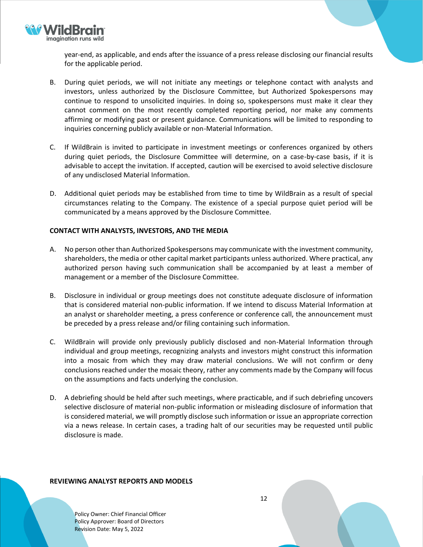

year-end, as applicable, and ends after the issuance of a press release disclosing our financial results for the applicable period.

- B. During quiet periods, we will not initiate any meetings or telephone contact with analysts and investors, unless authorized by the Disclosure Committee, but Authorized Spokespersons may continue to respond to unsolicited inquiries. In doing so, spokespersons must make it clear they cannot comment on the most recently completed reporting period, nor make any comments affirming or modifying past or present guidance. Communications will be limited to responding to inquiries concerning publicly available or non-Material Information.
- C. If WildBrain is invited to participate in investment meetings or conferences organized by others during quiet periods, the Disclosure Committee will determine, on a case-by-case basis, if it is advisable to accept the invitation. If accepted, caution will be exercised to avoid selective disclosure of any undisclosed Material Information.
- D. Additional quiet periods may be established from time to time by WildBrain as a result of special circumstances relating to the Company. The existence of a special purpose quiet period will be communicated by a means approved by the Disclosure Committee.

# **CONTACT WITH ANALYSTS, INVESTORS, AND THE MEDIA**

- A. No person other than Authorized Spokespersons may communicate with the investment community, shareholders, the media or other capital market participants unless authorized. Where practical, any authorized person having such communication shall be accompanied by at least a member of management or a member of the Disclosure Committee.
- B. Disclosure in individual or group meetings does not constitute adequate disclosure of information that is considered material non-public information. If we intend to discuss Material Information at an analyst or shareholder meeting, a press conference or conference call, the announcement must be preceded by a press release and/or filing containing such information.
- C. WildBrain will provide only previously publicly disclosed and non-Material Information through individual and group meetings, recognizing analysts and investors might construct this information into a mosaic from which they may draw material conclusions. We will not confirm or deny conclusions reached under the mosaic theory, rather any comments made by the Company will focus on the assumptions and facts underlying the conclusion.
- D. A debriefing should be held after such meetings, where practicable, and if such debriefing uncovers selective disclosure of material non-public information or misleading disclosure of information that is considered material, we will promptly disclose such information or issue an appropriate correction via a news release. In certain cases, a trading halt of our securities may be requested until public disclosure is made.

#### **REVIEWING ANALYST REPORTS AND MODELS**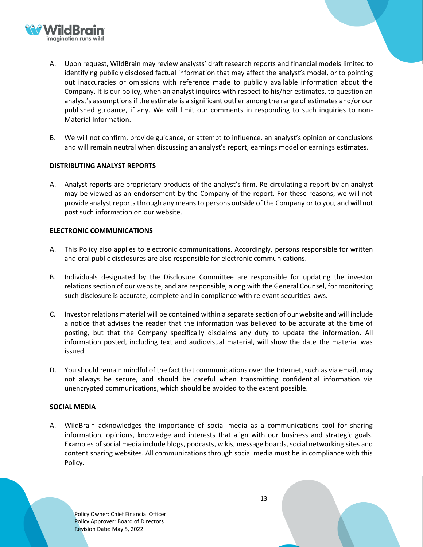

- A. Upon request, WildBrain may review analysts' draft research reports and financial models limited to identifying publicly disclosed factual information that may affect the analyst's model, or to pointing out inaccuracies or omissions with reference made to publicly available information about the Company. It is our policy, when an analyst inquires with respect to his/her estimates, to question an analyst's assumptions if the estimate is a significant outlier among the range of estimates and/or our published guidance, if any. We will limit our comments in responding to such inquiries to non-Material Information.
- B. We will not confirm, provide guidance, or attempt to influence, an analyst's opinion or conclusions and will remain neutral when discussing an analyst's report, earnings model or earnings estimates.

### **DISTRIBUTING ANALYST REPORTS**

A. Analyst reports are proprietary products of the analyst's firm. Re-circulating a report by an analyst may be viewed as an endorsement by the Company of the report. For these reasons, we will not provide analyst reports through any means to persons outside of the Company or to you, and will not post such information on our website.

#### **ELECTRONIC COMMUNICATIONS**

- A. This Policy also applies to electronic communications. Accordingly, persons responsible for written and oral public disclosures are also responsible for electronic communications.
- B. Individuals designated by the Disclosure Committee are responsible for updating the investor relations section of our website, and are responsible, along with the General Counsel, for monitoring such disclosure is accurate, complete and in compliance with relevant securities laws.
- C. Investor relations material will be contained within a separate section of our website and will include a notice that advises the reader that the information was believed to be accurate at the time of posting, but that the Company specifically disclaims any duty to update the information. All information posted, including text and audiovisual material, will show the date the material was issued.
- D. You should remain mindful of the fact that communications over the Internet, such as via email, may not always be secure, and should be careful when transmitting confidential information via unencrypted communications, which should be avoided to the extent possible.

#### **SOCIAL MEDIA**

A. WildBrain acknowledges the importance of social media as a communications tool for sharing information, opinions, knowledge and interests that align with our business and strategic goals. Examples of social media include blogs, podcasts, wikis, message boards, social networking sites and content sharing websites. All communications through social media must be in compliance with this Policy.

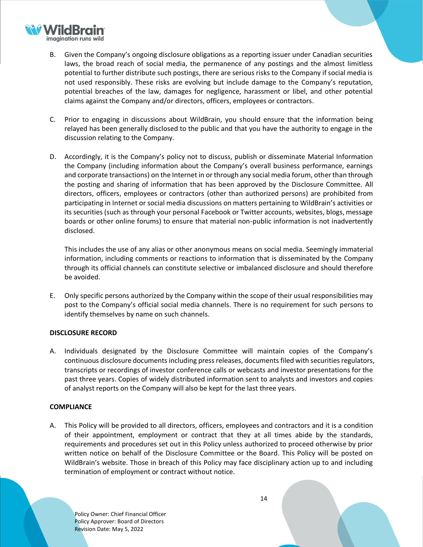

- B. Given the Company's ongoing disclosure obligations as a reporting issuer under Canadian securities laws, the broad reach of social media, the permanence of any postings and the almost limitless potential to further distribute such postings, there are serious risks to the Company if social media is not used responsibly. These risks are evolving but include damage to the Company's reputation, potential breaches of the law, damages for negligence, harassment or libel, and other potential claims against the Company and/or directors, officers, employees or contractors.
- C. Prior to engaging in discussions about WildBrain, you should ensure that the information being relayed has been generally disclosed to the public and that you have the authority to engage in the discussion relating to the Company.
- D. Accordingly, it is the Company's policy not to discuss, publish or disseminate Material Information the Company (including information about the Company's overall business performance, earnings and corporate transactions) on the Internet in or through any social media forum, other than through the posting and sharing of information that has been approved by the Disclosure Committee. All directors, officers, employees or contractors (other than authorized persons) are prohibited from participating in Internet or social media discussions on matters pertaining to WildBrain's activities or its securities (such as through your personal Facebook or Twitter accounts, websites, blogs, message boards or other online forums) to ensure that material non-public information is not inadvertently disclosed.

This includes the use of any alias or other anonymous means on social media. Seemingly immaterial information, including comments or reactions to information that is disseminated by the Company through its official channels can constitute selective or imbalanced disclosure and should therefore be avoided.

E. Only specific persons authorized by the Company within the scope of their usual responsibilities may post to the Company's official social media channels. There is no requirement for such persons to identify themselves by name on such channels.

# **DISCLOSURE RECORD**

A. Individuals designated by the Disclosure Committee will maintain copies of the Company's continuous disclosure documents including press releases, documents filed with securities regulators, transcripts or recordings of investor conference calls or webcasts and investor presentations for the past three years. Copies of widely distributed information sent to analysts and investors and copies of analyst reports on the Company will also be kept for the last three years.

# **COMPLIANCE**

A. This Policy will be provided to all directors, officers, employees and contractors and it is a condition of their appointment, employment or contract that they at all times abide by the standards, requirements and procedures set out in this Policy unless authorized to proceed otherwise by prior written notice on behalf of the Disclosure Committee or the Board. This Policy will be posted on WildBrain's website. Those in breach of this Policy may face disciplinary action up to and including termination of employment or contract without notice.

Policy Owner: Chief Financial Officer Policy Approver: Board of Directors Revision Date: May 5, 2022